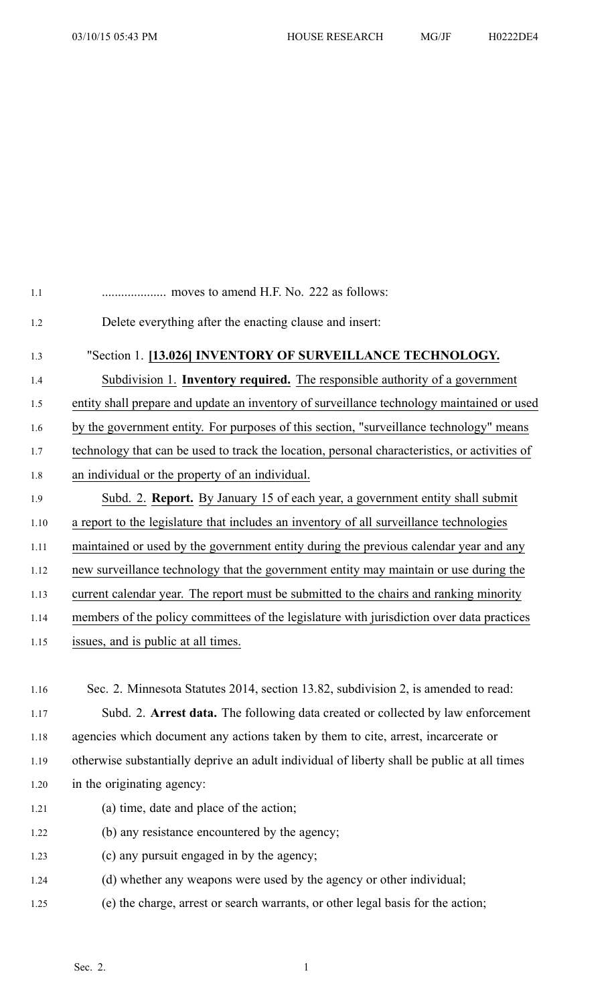| $1.1\,$ |                                                                                               |
|---------|-----------------------------------------------------------------------------------------------|
| 1.2     | Delete everything after the enacting clause and insert:                                       |
| 1.3     | "Section 1. [13.026] INVENTORY OF SURVEILLANCE TECHNOLOGY.                                    |
| 1.4     | Subdivision 1. Inventory required. The responsible authority of a government                  |
| 1.5     | entity shall prepare and update an inventory of surveillance technology maintained or used    |
| 1.6     | by the government entity. For purposes of this section, "surveillance technology" means       |
| 1.7     | technology that can be used to track the location, personal characteristics, or activities of |
| 1.8     | an individual or the property of an individual.                                               |
| 1.9     | Subd. 2. <b>Report.</b> By January 15 of each year, a government entity shall submit          |
| 1.10    | a report to the legislature that includes an inventory of all surveillance technologies       |
| 1.11    | maintained or used by the government entity during the previous calendar year and any         |
| 1.12    | new surveillance technology that the government entity may maintain or use during the         |
| 1.13    | current calendar year. The report must be submitted to the chairs and ranking minority        |
| 1.14    | members of the policy committees of the legislature with jurisdiction over data practices     |
| 1.15    | issues, and is public at all times.                                                           |
|         |                                                                                               |
| 1.16    | Sec. 2. Minnesota Statutes 2014, section 13.82, subdivision 2, is amended to read:            |
| 1.17    | Subd. 2. Arrest data. The following data created or collected by law enforcement              |
| 1.18    | agencies which document any actions taken by them to cite, arrest, incarcerate or             |
| 1.19    | otherwise substantially deprive an adult individual of liberty shall be public at all times   |
| 1.20    | in the originating agency:                                                                    |
| 1.21    | (a) time, date and place of the action;                                                       |
| 1.22    | (b) any resistance encountered by the agency;                                                 |
| 1.23    | (c) any pursuit engaged in by the agency;                                                     |
| 1.24    | (d) whether any weapons were used by the agency or other individual;                          |

1.25 (e) the charge, arrest or search warrants, or other legal basis for the action;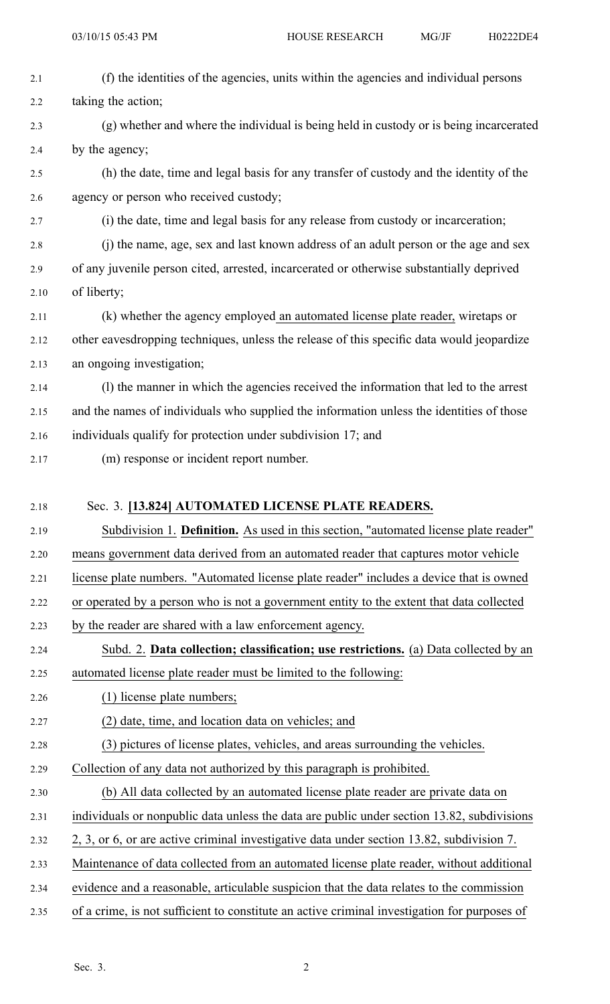| 2.1  | (f) the identities of the agencies, units within the agencies and individual persons       |
|------|--------------------------------------------------------------------------------------------|
| 2.2  | taking the action;                                                                         |
| 2.3  | (g) whether and where the individual is being held in custody or is being incarcerated     |
| 2.4  | by the agency;                                                                             |
| 2.5  | (h) the date, time and legal basis for any transfer of custody and the identity of the     |
| 2.6  | agency or person who received custody;                                                     |
| 2.7  | (i) the date, time and legal basis for any release from custody or incarceration;          |
| 2.8  | (j) the name, age, sex and last known address of an adult person or the age and sex        |
| 2.9  | of any juvenile person cited, arrested, incarcerated or otherwise substantially deprived   |
| 2.10 | of liberty;                                                                                |
| 2.11 | (k) whether the agency employed an automated license plate reader, wiretaps or             |
| 2.12 | other eavesdropping techniques, unless the release of this specific data would jeopardize  |
| 2.13 | an ongoing investigation;                                                                  |
| 2.14 | (1) the manner in which the agencies received the information that led to the arrest       |
| 2.15 | and the names of individuals who supplied the information unless the identities of those   |
| 2.16 | individuals qualify for protection under subdivision 17; and                               |
| 2.17 | (m) response or incident report number.                                                    |
|      |                                                                                            |
| 2.18 | Sec. 3. [13.824] AUTOMATED LICENSE PLATE READERS.                                          |
|      |                                                                                            |
| 2.19 | Subdivision 1. Definition. As used in this section, "automated license plate reader"       |
| 2.20 | means government data derived from an automated reader that captures motor vehicle         |
| 2.21 | license plate numbers. "Automated license plate reader" includes a device that is owned    |
| 2.22 | or operated by a person who is not a government entity to the extent that data collected   |
| 2.23 | by the reader are shared with a law enforcement agency.                                    |
| 2.24 | Subd. 2. Data collection; classification; use restrictions. (a) Data collected by an       |
| 2.25 | automated license plate reader must be limited to the following:                           |
| 2.26 | (1) license plate numbers;                                                                 |
| 2.27 | (2) date, time, and location data on vehicles; and                                         |
| 2.28 | (3) pictures of license plates, vehicles, and areas surrounding the vehicles.              |
| 2.29 | Collection of any data not authorized by this paragraph is prohibited.                     |
| 2.30 | (b) All data collected by an automated license plate reader are private data on            |
| 2.31 | individuals or nonpublic data unless the data are public under section 13.82, subdivisions |
| 2.32 | 2, 3, or 6, or are active criminal investigative data under section 13.82, subdivision 7.  |
| 2.33 | Maintenance of data collected from an automated license plate reader, without additional   |
| 2.34 | evidence and a reasonable, articulable suspicion that the data relates to the commission   |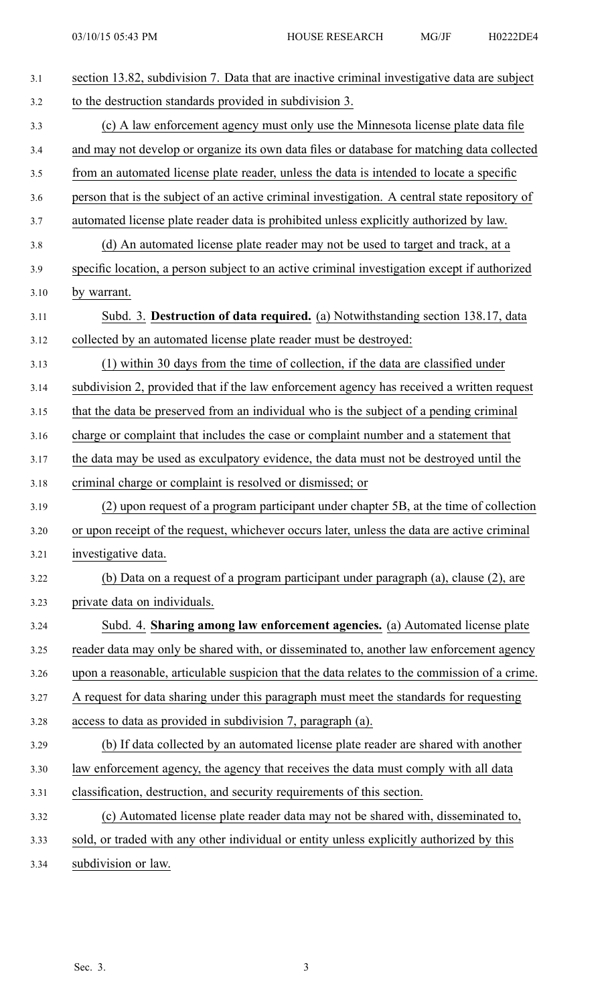| 3.1  | section 13.82, subdivision 7. Data that are inactive criminal investigative data are subject  |
|------|-----------------------------------------------------------------------------------------------|
| 3.2  | to the destruction standards provided in subdivision 3.                                       |
| 3.3  | (c) A law enforcement agency must only use the Minnesota license plate data file              |
| 3.4  | and may not develop or organize its own data files or database for matching data collected    |
| 3.5  | from an automated license plate reader, unless the data is intended to locate a specific      |
| 3.6  | person that is the subject of an active criminal investigation. A central state repository of |
| 3.7  | automated license plate reader data is prohibited unless explicitly authorized by law.        |
| 3.8  | (d) An automated license plate reader may not be used to target and track, at a               |
| 3.9  | specific location, a person subject to an active criminal investigation except if authorized  |
| 3.10 | by warrant.                                                                                   |
| 3.11 | Subd. 3. Destruction of data required. (a) Notwithstanding section 138.17, data               |
| 3.12 | collected by an automated license plate reader must be destroyed:                             |
| 3.13 | (1) within 30 days from the time of collection, if the data are classified under              |
| 3.14 | subdivision 2, provided that if the law enforcement agency has received a written request     |
| 3.15 | that the data be preserved from an individual who is the subject of a pending criminal        |
| 3.16 | charge or complaint that includes the case or complaint number and a statement that           |
| 3.17 | the data may be used as exculpatory evidence, the data must not be destroyed until the        |
| 3.18 | criminal charge or complaint is resolved or dismissed; or                                     |
| 3.19 | (2) upon request of a program participant under chapter 5B, at the time of collection         |
| 3.20 | or upon receipt of the request, whichever occurs later, unless the data are active criminal   |
| 3.21 | investigative data.                                                                           |
| 3.22 | (b) Data on a request of a program participant under paragraph (a), clause (2), are           |
| 3.23 | private data on individuals.                                                                  |
| 3.24 | Subd. 4. Sharing among law enforcement agencies. (a) Automated license plate                  |
| 3.25 | reader data may only be shared with, or disseminated to, another law enforcement agency       |
| 3.26 | upon a reasonable, articulable suspicion that the data relates to the commission of a crime.  |
| 3.27 | A request for data sharing under this paragraph must meet the standards for requesting        |
| 3.28 | access to data as provided in subdivision 7, paragraph (a).                                   |
| 3.29 | (b) If data collected by an automated license plate reader are shared with another            |
| 3.30 | law enforcement agency, the agency that receives the data must comply with all data           |
| 3.31 | classification, destruction, and security requirements of this section.                       |
| 3.32 | (c) Automated license plate reader data may not be shared with, disseminated to,              |
| 3.33 | sold, or traded with any other individual or entity unless explicitly authorized by this      |
| 3.34 | subdivision or law.                                                                           |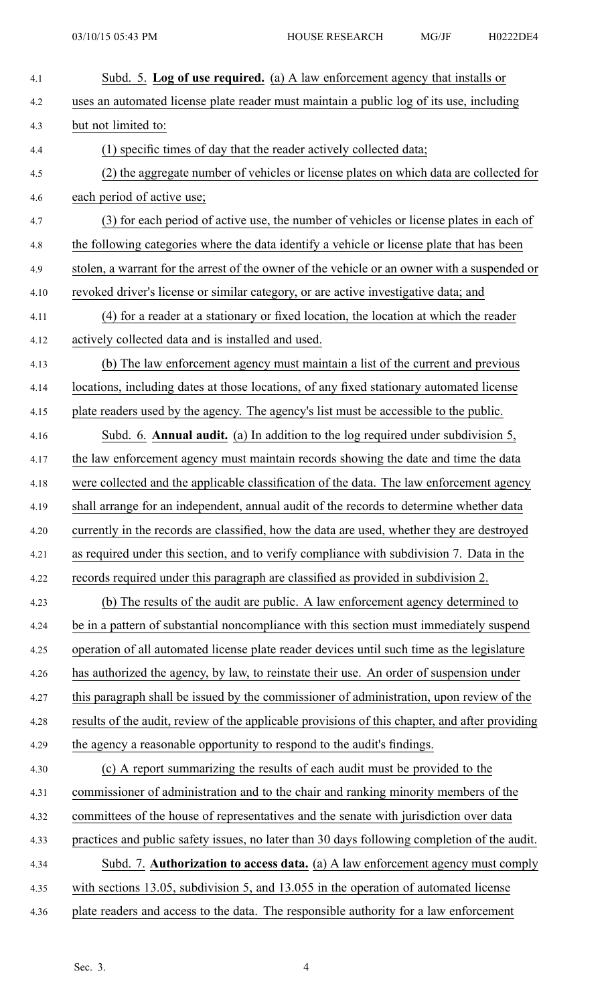| 4.1  | Subd. 5. Log of use required. (a) A law enforcement agency that installs or                    |
|------|------------------------------------------------------------------------------------------------|
| 4.2  | uses an automated license plate reader must maintain a public log of its use, including        |
| 4.3  | but not limited to:                                                                            |
| 4.4  | (1) specific times of day that the reader actively collected data;                             |
| 4.5  | (2) the aggregate number of vehicles or license plates on which data are collected for         |
| 4.6  | each period of active use;                                                                     |
| 4.7  | (3) for each period of active use, the number of vehicles or license plates in each of         |
| 4.8  | the following categories where the data identify a vehicle or license plate that has been      |
| 4.9  | stolen, a warrant for the arrest of the owner of the vehicle or an owner with a suspended or   |
| 4.10 | revoked driver's license or similar category, or are active investigative data; and            |
| 4.11 | (4) for a reader at a stationary or fixed location, the location at which the reader           |
| 4.12 | actively collected data and is installed and used.                                             |
| 4.13 | (b) The law enforcement agency must maintain a list of the current and previous                |
| 4.14 | locations, including dates at those locations, of any fixed stationary automated license       |
| 4.15 | plate readers used by the agency. The agency's list must be accessible to the public.          |
| 4.16 | Subd. 6. Annual audit. (a) In addition to the log required under subdivision 5,                |
| 4.17 | the law enforcement agency must maintain records showing the date and time the data            |
| 4.18 | were collected and the applicable classification of the data. The law enforcement agency       |
| 4.19 | shall arrange for an independent, annual audit of the records to determine whether data        |
| 4.20 | currently in the records are classified, how the data are used, whether they are destroyed     |
| 4.21 | as required under this section, and to verify compliance with subdivision 7. Data in the       |
| 4.22 | records required under this paragraph are classified as provided in subdivision 2.             |
| 4.23 | (b) The results of the audit are public. A law enforcement agency determined to                |
| 4.24 | be in a pattern of substantial noncompliance with this section must immediately suspend        |
| 4.25 | operation of all automated license plate reader devices until such time as the legislature     |
| 4.26 | has authorized the agency, by law, to reinstate their use. An order of suspension under        |
| 4.27 | this paragraph shall be issued by the commissioner of administration, upon review of the       |
| 4.28 | results of the audit, review of the applicable provisions of this chapter, and after providing |
| 4.29 | the agency a reasonable opportunity to respond to the audit's findings.                        |
| 4.30 | (c) A report summarizing the results of each audit must be provided to the                     |
| 4.31 | commissioner of administration and to the chair and ranking minority members of the            |
| 4.32 | committees of the house of representatives and the senate with jurisdiction over data          |
| 4.33 | practices and public safety issues, no later than 30 days following completion of the audit.   |
| 4.34 | Subd. 7. Authorization to access data. (a) A law enforcement agency must comply                |
| 4.35 | with sections 13.05, subdivision 5, and 13.055 in the operation of automated license           |
| 4.36 | plate readers and access to the data. The responsible authority for a law enforcement          |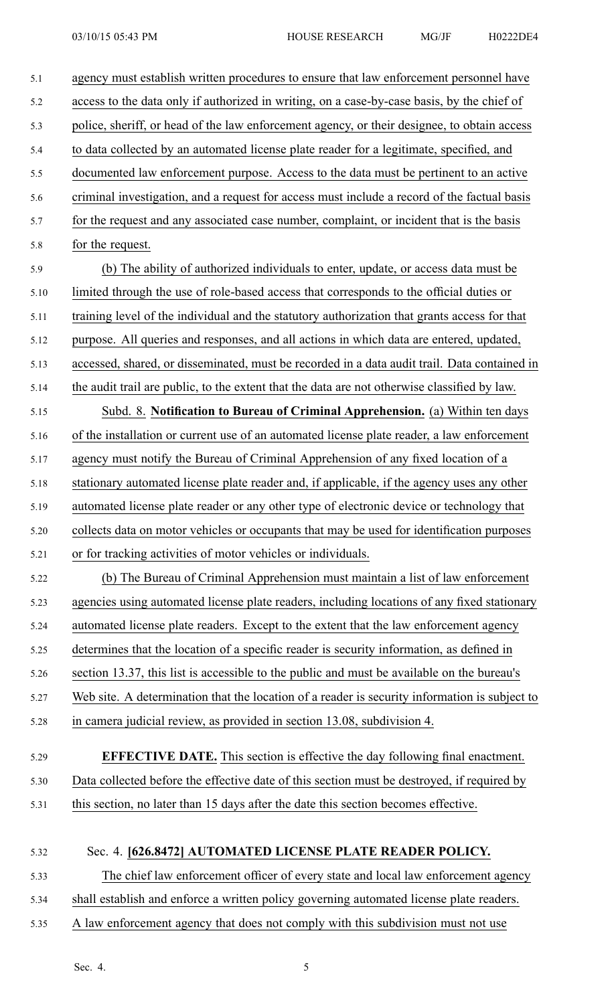| 5.1  | agency must establish written procedures to ensure that law enforcement personnel have        |
|------|-----------------------------------------------------------------------------------------------|
| 5.2  | access to the data only if authorized in writing, on a case-by-case basis, by the chief of    |
| 5.3  | police, sheriff, or head of the law enforcement agency, or their designee, to obtain access   |
| 5.4  | to data collected by an automated license plate reader for a legitimate, specified, and       |
| 5.5  | documented law enforcement purpose. Access to the data must be pertinent to an active         |
| 5.6  | criminal investigation, and a request for access must include a record of the factual basis   |
| 5.7  | for the request and any associated case number, complaint, or incident that is the basis      |
| 5.8  | for the request.                                                                              |
| 5.9  | (b) The ability of authorized individuals to enter, update, or access data must be            |
| 5.10 | limited through the use of role-based access that corresponds to the official duties or       |
| 5.11 | training level of the individual and the statutory authorization that grants access for that  |
| 5.12 | purpose. All queries and responses, and all actions in which data are entered, updated,       |
| 5.13 | accessed, shared, or disseminated, must be recorded in a data audit trail. Data contained in  |
| 5.14 | the audit trail are public, to the extent that the data are not otherwise classified by law.  |
| 5.15 | Subd. 8. Notification to Bureau of Criminal Apprehension. (a) Within ten days                 |
| 5.16 | of the installation or current use of an automated license plate reader, a law enforcement    |
| 5.17 | agency must notify the Bureau of Criminal Apprehension of any fixed location of a             |
| 5.18 | stationary automated license plate reader and, if applicable, if the agency uses any other    |
| 5.19 | automated license plate reader or any other type of electronic device or technology that      |
| 5.20 | collects data on motor vehicles or occupants that may be used for identification purposes     |
| 5.21 | or for tracking activities of motor vehicles or individuals.                                  |
| 5.22 | (b) The Bureau of Criminal Apprehension must maintain a list of law enforcement               |
| 5.23 | agencies using automated license plate readers, including locations of any fixed stationary   |
| 5.24 | automated license plate readers. Except to the extent that the law enforcement agency         |
| 5.25 | determines that the location of a specific reader is security information, as defined in      |
| 5.26 | section 13.37, this list is accessible to the public and must be available on the bureau's    |
| 5.27 | Web site. A determination that the location of a reader is security information is subject to |
| 5.28 | in camera judicial review, as provided in section 13.08, subdivision 4.                       |
|      |                                                                                               |
| 5.29 | <b>EFFECTIVE DATE.</b> This section is effective the day following final enactment.           |
| 5.30 | Data collected before the effective date of this section must be destroyed, if required by    |
| 5.31 | this section, no later than 15 days after the date this section becomes effective.            |
|      |                                                                                               |
| 5.32 | Sec. 4. [626.8472] AUTOMATED LICENSE PLATE READER POLICY.                                     |
| 5.33 | The chief law enforcement officer of every state and local law enforcement agency             |
| 5.34 | shall establish and enforce a written policy governing automated license plate readers.       |

5.35 A law enforcement agency that does not comply with this subdivision must not use